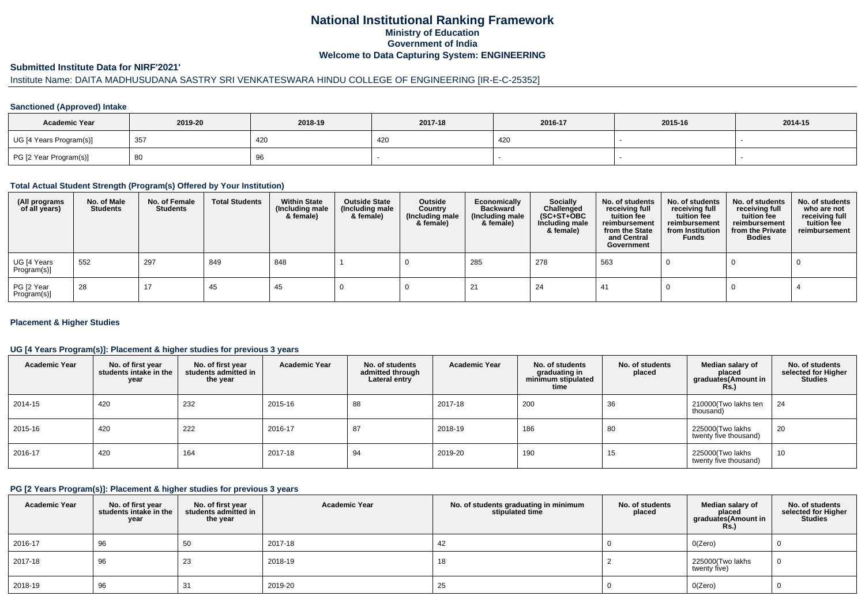## **National Institutional Ranking FrameworkMinistry of Education Government of IndiaWelcome to Data Capturing System: ENGINEERING**

#### **Submitted Institute Data for NIRF'2021'**

## Institute Name: DAITA MADHUSUDANA SASTRY SRI VENKATESWARA HINDU COLLEGE OF ENGINEERING [IR-E-C-25352]

#### **Sanctioned (Approved) Intake**

| <b>Academic Year</b>    | 2019-20         | 2018-19 | 2017-18 | 2016-17 | 2015-16 | 2014-15 |
|-------------------------|-----------------|---------|---------|---------|---------|---------|
| UG [4 Years Program(s)] | 35 <sub>1</sub> | 420     | 420     | 420     |         |         |
| PG [2 Year Program(s)]  | ്ധ              | ອບ      |         |         |         |         |

#### **Total Actual Student Strength (Program(s) Offered by Your Institution)**

| (All programs<br>of all years) | No. of Male<br><b>Students</b> | No. of Female<br>Students | <b>Total Students</b> | <b>Within State</b><br>(Including male<br>& female) | <b>Outside State</b><br>(Including male<br>& female) | Outside<br>Country<br>(Including male<br>& female) | Economically<br><b>Backward</b><br>(Including male<br>& female) | <b>Socially</b><br>Challenged<br>$(SC+ST+OBC)$<br>Including male<br>& female) | No. of students<br>receiving full<br>tuition fee<br>reimbursement<br>from the State<br>and Central<br>Government | No. of students<br>receiving full<br>tuition fee<br>reimbursement<br>from Institution<br><b>Funds</b> | No. of students<br>receiving full<br>tuition fee<br>reimbursement<br>from the Private<br><b>Bodies</b> | No. of students<br>who are not<br>receiving full<br>tuition fee<br>reimbursement |
|--------------------------------|--------------------------------|---------------------------|-----------------------|-----------------------------------------------------|------------------------------------------------------|----------------------------------------------------|-----------------------------------------------------------------|-------------------------------------------------------------------------------|------------------------------------------------------------------------------------------------------------------|-------------------------------------------------------------------------------------------------------|--------------------------------------------------------------------------------------------------------|----------------------------------------------------------------------------------|
| UG [4 Years<br>Program(s)]     | 552                            | 297                       | 849                   | 848                                                 |                                                      |                                                    | 285                                                             | 278                                                                           | 563                                                                                                              |                                                                                                       |                                                                                                        |                                                                                  |
| PG [2 Year<br>Program(s)]      | 28                             | 17                        | 45                    | 45                                                  |                                                      |                                                    |                                                                 | 24                                                                            | -41                                                                                                              |                                                                                                       |                                                                                                        |                                                                                  |

#### **Placement & Higher Studies**

#### **UG [4 Years Program(s)]: Placement & higher studies for previous 3 years**

| <b>Academic Year</b> | No. of first year<br>students intake in the<br>year | No. of first year<br>students admitted in<br>the year | <b>Academic Year</b> | No. of students<br>admitted through<br>Lateral entry | <b>Academic Year</b> | No. of students<br>graduating in<br>minimum stipulated<br>time | No. of students<br>placed | Median salary of<br>placed<br>graduates(Amount in<br>Rs.) | No. of students<br>selected for Higher<br><b>Studies</b> |
|----------------------|-----------------------------------------------------|-------------------------------------------------------|----------------------|------------------------------------------------------|----------------------|----------------------------------------------------------------|---------------------------|-----------------------------------------------------------|----------------------------------------------------------|
| 2014-15              | 420                                                 | 232                                                   | 2015-16              | 88                                                   | 2017-18              | 200                                                            | 36                        | 210000(Two lakhs ten<br>thousand)                         | 24                                                       |
| 2015-16              | 420                                                 | 222                                                   | 2016-17              | 87                                                   | 2018-19              | 186                                                            | 80                        | 225000(Two lakhs<br>twenty five thousand)                 | 20                                                       |
| 2016-17              | 420                                                 | 164                                                   | 2017-18              | 94                                                   | 2019-20              | 190                                                            | 15                        | 225000(Two lakhs<br>twenty five thousand)                 | 10                                                       |

#### **PG [2 Years Program(s)]: Placement & higher studies for previous 3 years**

| <b>Academic Year</b> | No. of first year<br>students intake in the<br>year | No. of first year<br>students admitted in<br>the year | <b>Academic Year</b> | No. of students graduating in minimum<br>stipulated time | No. of students<br>placed | Median salary of<br>placed<br>graduates(Amount in<br><b>Rs.)</b> | No. of students<br>selected for Higher<br><b>Studies</b> |
|----------------------|-----------------------------------------------------|-------------------------------------------------------|----------------------|----------------------------------------------------------|---------------------------|------------------------------------------------------------------|----------------------------------------------------------|
| 2016-17              | 96                                                  | 50                                                    | 2017-18              | 42                                                       |                           | O(Zero)                                                          |                                                          |
| 2017-18              | 96                                                  | 23                                                    | 2018-19              | 18                                                       |                           | 225000(Two lakhs<br>twenty five)                                 |                                                          |
| 2018-19              | 96                                                  | 31                                                    | 2019-20              | 25                                                       |                           | O(Zero)                                                          |                                                          |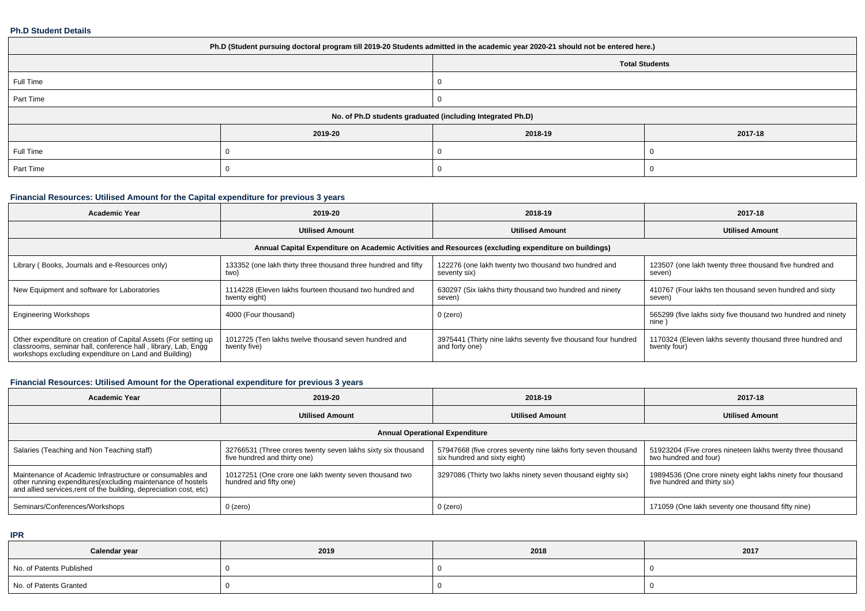#### **Ph.D Student Details**

| Ph.D (Student pursuing doctoral program till 2019-20 Students admitted in the academic year 2020-21 should not be entered here.) |         |         |         |  |  |  |  |
|----------------------------------------------------------------------------------------------------------------------------------|---------|---------|---------|--|--|--|--|
| <b>Total Students</b>                                                                                                            |         |         |         |  |  |  |  |
| Full Time                                                                                                                        |         |         |         |  |  |  |  |
| Part Time                                                                                                                        |         |         |         |  |  |  |  |
| No. of Ph.D students graduated (including Integrated Ph.D)                                                                       |         |         |         |  |  |  |  |
|                                                                                                                                  | 2019-20 | 2018-19 | 2017-18 |  |  |  |  |
| Full Time                                                                                                                        |         |         |         |  |  |  |  |
| Part Time                                                                                                                        |         |         |         |  |  |  |  |

# **Financial Resources: Utilised Amount for the Capital expenditure for previous 3 years**

| <b>Academic Year</b>                                                                                                                                                                      | 2019-20                                                                  | 2018-19                                                                                              | 2017-18                                                                  |  |
|-------------------------------------------------------------------------------------------------------------------------------------------------------------------------------------------|--------------------------------------------------------------------------|------------------------------------------------------------------------------------------------------|--------------------------------------------------------------------------|--|
|                                                                                                                                                                                           | <b>Utilised Amount</b>                                                   | <b>Utilised Amount</b>                                                                               | <b>Utilised Amount</b>                                                   |  |
|                                                                                                                                                                                           |                                                                          | Annual Capital Expenditure on Academic Activities and Resources (excluding expenditure on buildings) |                                                                          |  |
| Library (Books, Journals and e-Resources only)                                                                                                                                            | 133352 (one lakh thirty three thousand three hundred and fifty<br>two)   | 122276 (one lakh twenty two thousand two hundred and<br>seventy six)                                 | 123507 (one lakh twenty three thousand five hundred and<br>seven)        |  |
| New Equipment and software for Laboratories                                                                                                                                               | 1114228 (Eleven lakhs fourteen thousand two hundred and<br>twenty eight) | 630297 (Six lakhs thirty thousand two hundred and ninety<br>seven)                                   | 410767 (Four lakhs ten thousand seven hundred and sixty<br>seven)        |  |
| <b>Engineering Workshops</b>                                                                                                                                                              | 4000 (Four thousand)                                                     | 0 (zero)                                                                                             | 565299 (five lakhs sixty five thousand two hundred and ninety<br>nine)   |  |
| Other expenditure on creation of Capital Assets (For setting up<br>classrooms, seminar hall, conference hall, library, Lab, Engg<br>workshops excluding expenditure on Land and Building) | 1012725 (Ten lakhs twelve thousand seven hundred and<br>twenty five)     | 3975441 (Thirty nine lakhs seventy five thousand four hundred<br>and forty one)                      | 1170324 (Eleven lakhs seventy thousand three hundred and<br>twenty four) |  |

## **Financial Resources: Utilised Amount for the Operational expenditure for previous 3 years**

| <b>Academic Year</b>                                                                                                                                                                            | 2019-20                                                                                      | 2018-19                                                                                       | 2017-18                                                                                     |  |  |  |  |  |  |
|-------------------------------------------------------------------------------------------------------------------------------------------------------------------------------------------------|----------------------------------------------------------------------------------------------|-----------------------------------------------------------------------------------------------|---------------------------------------------------------------------------------------------|--|--|--|--|--|--|
|                                                                                                                                                                                                 | <b>Utilised Amount</b>                                                                       | <b>Utilised Amount</b>                                                                        | <b>Utilised Amount</b>                                                                      |  |  |  |  |  |  |
|                                                                                                                                                                                                 | <b>Annual Operational Expenditure</b>                                                        |                                                                                               |                                                                                             |  |  |  |  |  |  |
| Salaries (Teaching and Non Teaching staff)                                                                                                                                                      | 32766531 (Three crores twenty seven lakhs sixty six thousand<br>five hundred and thirty one) | 57947668 (five crores seventy nine lakhs forty seven thousand<br>six hundred and sixty eight) | 51923204 (Five crores nineteen lakhs twenty three thousand<br>two hundred and four)         |  |  |  |  |  |  |
| Maintenance of Academic Infrastructure or consumables and<br>other running expenditures (excluding maintenance of hostels<br>and allied services, rent of the building, depreciation cost, etc) | 10127251 (One crore one lakh twenty seven thousand two<br>hundred and fifty one)             | 3297086 (Thirty two lakhs ninety seven thousand eighty six)                                   | 19894536 (One crore ninety eight lakhs ninety four thousand<br>five hundred and thirty six) |  |  |  |  |  |  |
| Seminars/Conferences/Workshops                                                                                                                                                                  | $0$ (zero)                                                                                   | $0$ (zero)                                                                                    | 171059 (One lakh seventy one thousand fifty nine)                                           |  |  |  |  |  |  |

**IPR**

| Calendar year            | 2019 | 2018 | 2017 |
|--------------------------|------|------|------|
| No. of Patents Published |      |      |      |
| No. of Patents Granted   |      |      |      |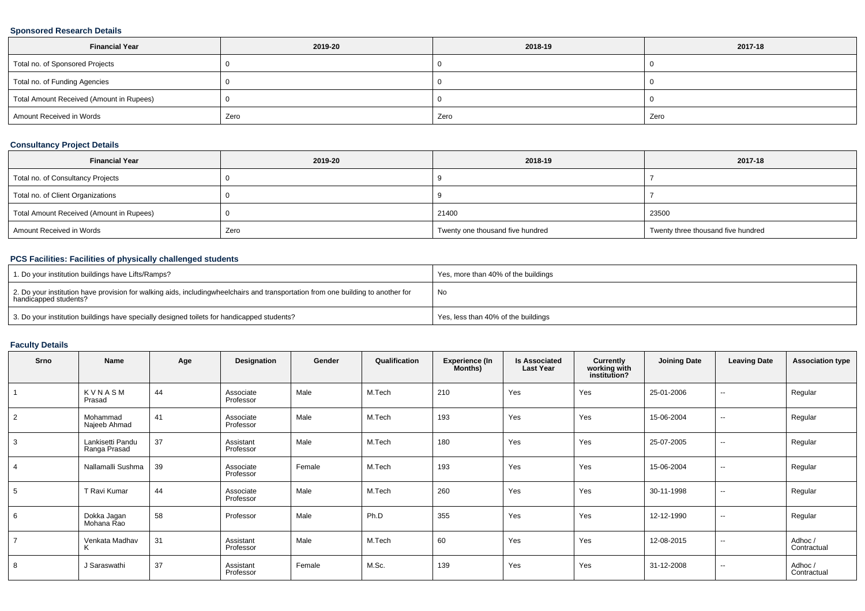#### **Sponsored Research Details**

| <b>Financial Year</b>                    | 2019-20 | 2018-19 | 2017-18 |
|------------------------------------------|---------|---------|---------|
| Total no. of Sponsored Projects          |         |         |         |
| Total no. of Funding Agencies            |         |         |         |
| Total Amount Received (Amount in Rupees) |         |         |         |
| Amount Received in Words                 | Zero    | Zero    | Zero    |

#### **Consultancy Project Details**

| <b>Financial Year</b>                    | 2019-20 | 2018-19                          | 2017-18                            |
|------------------------------------------|---------|----------------------------------|------------------------------------|
| Total no. of Consultancy Projects        |         |                                  |                                    |
| Total no. of Client Organizations        |         |                                  |                                    |
| Total Amount Received (Amount in Rupees) |         | 21400                            | 23500                              |
| Amount Received in Words                 | Zero    | Twenty one thousand five hundred | Twenty three thousand five hundred |

## **PCS Facilities: Facilities of physically challenged students**

| 1. Do your institution buildings have Lifts/Ramps?                                                                                                        | Yes, more than 40% of the buildings |
|-----------------------------------------------------------------------------------------------------------------------------------------------------------|-------------------------------------|
| 2. Do your institution have provision for walking aids, includingwheelchairs and transportation from one building to another for<br>handicapped students? | No                                  |
| 3. Do your institution buildings have specially designed toilets for handicapped students?                                                                | Yes, less than 40% of the buildings |

### **Faculty Details**

| Srno           | Name                             | Age | Designation            | Gender | Qualification | <b>Experience (In</b><br>Months) | <b>Is Associated</b><br><b>Last Year</b> | <b>Currently</b><br>working with<br>institution? | <b>Joining Date</b> | <b>Leaving Date</b>      | <b>Association type</b> |
|----------------|----------------------------------|-----|------------------------|--------|---------------|----------------------------------|------------------------------------------|--------------------------------------------------|---------------------|--------------------------|-------------------------|
|                | KVNASM<br>Prasad                 | 44  | Associate<br>Professor | Male   | M.Tech        | 210                              | Yes                                      | Yes                                              | 25-01-2006          | $\sim$                   | Regular                 |
| $\overline{2}$ | Mohammad<br>Najeeb Ahmad         | 41  | Associate<br>Professor | Male   | M.Tech        | 193                              | Yes                                      | Yes                                              | 15-06-2004          | $\overline{\phantom{a}}$ | Regular                 |
| 3              | Lankisetti Pandu<br>Ranga Prasad | 37  | Assistant<br>Professor | Male   | M.Tech        | 180                              | Yes                                      | Yes                                              | 25-07-2005          | $\sim$                   | Regular                 |
|                | Nallamalli Sushma                | 39  | Associate<br>Professor | Female | M.Tech        | 193                              | Yes                                      | Yes                                              | 15-06-2004          | $\sim$                   | Regular                 |
|                | T Ravi Kumar                     | 44  | Associate<br>Professor | Male   | M.Tech        | 260                              | Yes                                      | Yes                                              | 30-11-1998          | $\overline{\phantom{a}}$ | Regular                 |
| 6              | Dokka Jagan<br>Mohana Rao        | 58  | Professor              | Male   | Ph.D          | 355                              | Yes                                      | Yes                                              | 12-12-1990          | $\sim$                   | Regular                 |
|                | Venkata Madhav                   | 31  | Assistant<br>Professor | Male   | M.Tech        | 60                               | Yes                                      | Yes                                              | 12-08-2015          | $\sim$                   | Adhoc /<br>Contractual  |
| 8              | J Saraswathi                     | 37  | Assistant<br>Professor | Female | M.Sc.         | 139                              | Yes                                      | Yes                                              | 31-12-2008          | $\overline{\phantom{a}}$ | Adhoc /<br>Contractual  |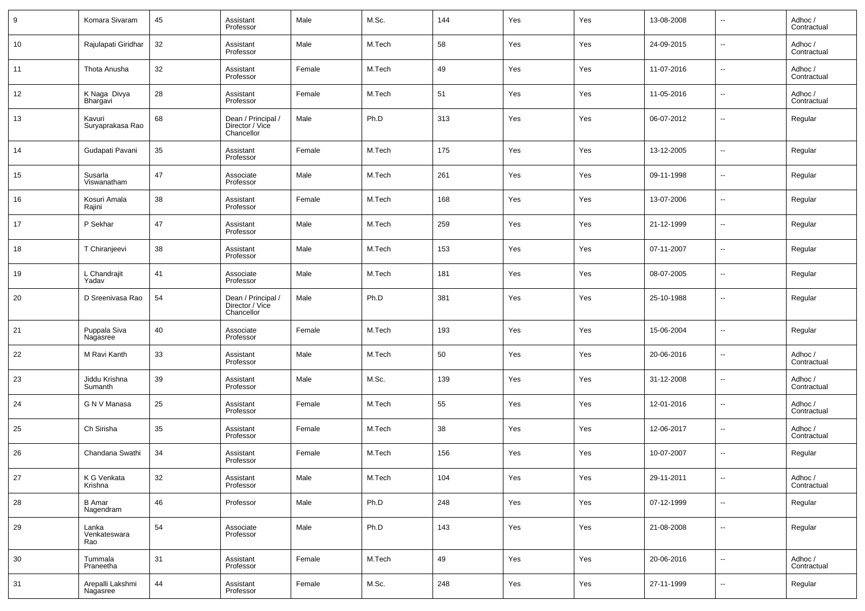| 9  | Komara Sivaram               | 45     | Assistant<br>Professor                              | Male   | M.Sc.  | 144 | Yes | Yes | 13-08-2008 | $\overline{a}$           | Adhoc /<br>Contractual |
|----|------------------------------|--------|-----------------------------------------------------|--------|--------|-----|-----|-----|------------|--------------------------|------------------------|
| 10 | Rajulapati Giridhar          | 32     | Assistant<br>Professor                              | Male   | M.Tech | 58  | Yes | Yes | 24-09-2015 | $\overline{\phantom{a}}$ | Adhoc /<br>Contractual |
| 11 | Thota Anusha                 | 32     | Assistant<br>Professor                              | Female | M.Tech | 49  | Yes | Yes | 11-07-2016 | ш,                       | Adhoc /<br>Contractual |
| 12 | K Naga Divya<br>Bhargavi     | 28     | Assistant<br>Professor                              | Female | M.Tech | 51  | Yes | Yes | 11-05-2016 | $\overline{\phantom{a}}$ | Adhoc /<br>Contractual |
| 13 | Kavuri<br>Suryaprakasa Rao   | 68     | Dean / Principal /<br>Director / Vice<br>Chancellor | Male   | Ph.D   | 313 | Yes | Yes | 06-07-2012 | ш,                       | Regular                |
| 14 | Gudapati Pavani              | 35     | Assistant<br>Professor                              | Female | M.Tech | 175 | Yes | Yes | 13-12-2005 | --                       | Regular                |
| 15 | Susarla<br>Viswanatham       | 47     | Associate<br>Professor                              | Male   | M.Tech | 261 | Yes | Yes | 09-11-1998 | --                       | Regular                |
| 16 | Kosuri Amala<br>Rajini       | 38     | Assistant<br>Professor                              | Female | M.Tech | 168 | Yes | Yes | 13-07-2006 | --                       | Regular                |
| 17 | P Sekhar                     | 47     | Assistant<br>Professor                              | Male   | M.Tech | 259 | Yes | Yes | 21-12-1999 | --                       | Regular                |
| 18 | T Chiranjeevi                | 38     | Assistant<br>Professor                              | Male   | M.Tech | 153 | Yes | Yes | 07-11-2007 | --                       | Regular                |
| 19 | L Chandrajit<br>Yadav        | 41     | Associate<br>Professor                              | Male   | M.Tech | 181 | Yes | Yes | 08-07-2005 | --                       | Regular                |
| 20 | D Sreenivasa Rao             | 54     | Dean / Principal /<br>Director / Vice<br>Chancellor | Male   | Ph.D   | 381 | Yes | Yes | 25-10-1988 | --                       | Regular                |
| 21 | Puppala Siva<br>Nagasree     | 40     | Associate<br>Professor                              | Female | M.Tech | 193 | Yes | Yes | 15-06-2004 | --                       | Regular                |
| 22 | M Ravi Kanth                 | 33     | Assistant<br>Professor                              | Male   | M.Tech | 50  | Yes | Yes | 20-06-2016 | --                       | Adhoc /<br>Contractual |
| 23 | Jiddu Krishna<br>Sumanth     | 39     | Assistant<br>Professor                              | Male   | M.Sc.  | 139 | Yes | Yes | 31-12-2008 | --                       | Adhoc /<br>Contractual |
| 24 | G N V Manasa                 | 25     | Assistant<br>Professor                              | Female | M.Tech | 55  | Yes | Yes | 12-01-2016 | --                       | Adhoc /<br>Contractual |
| 25 | Ch Sirisha                   | 35     | Assistant<br>Professor                              | Female | M.Tech | 38  | Yes | Yes | 12-06-2017 | --                       | Adhoc /<br>Contractual |
| 26 | Chandana Swathi              | 34     | Assistant<br>Professor                              | Female | M.Tech | 156 | Yes | Yes | 10-07-2007 | --                       | Regular                |
| 27 | K G Venkata<br>Krishna       | $32\,$ | Assistant<br>Professor                              | Male   | M.Tech | 104 | Yes | Yes | 29-11-2011 | --                       | Adhoc /<br>Contractual |
| 28 | <b>B</b> Amar<br>Nagendram   | 46     | Professor                                           | Male   | Ph.D   | 248 | Yes | Yes | 07-12-1999 | $\sim$                   | Regular                |
| 29 | Lanka<br>Venkateswara<br>Rao | 54     | Associate<br>Professor                              | Male   | Ph.D   | 143 | Yes | Yes | 21-08-2008 | $\sim$                   | Regular                |
| 30 | Tummala<br>Praneetha         | 31     | Assistant<br>Professor                              | Female | M.Tech | 49  | Yes | Yes | 20-06-2016 | $\overline{\phantom{a}}$ | Adhoc /<br>Contractual |
| 31 | Arepalli Lakshmi<br>Nagasree | 44     | Assistant<br>Professor                              | Female | M.Sc.  | 248 | Yes | Yes | 27-11-1999 | $\overline{\phantom{a}}$ | Regular                |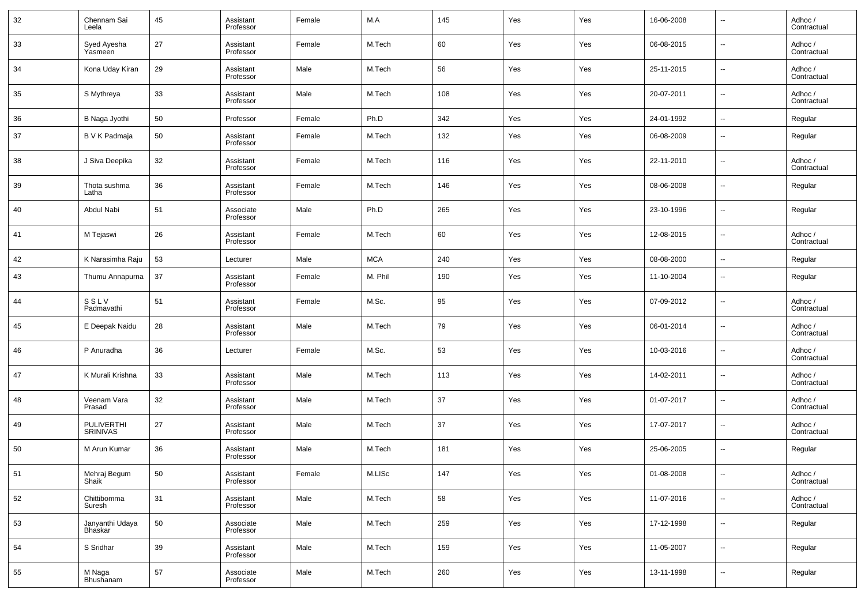| 32 | Chennam Sai<br>Leela       | 45 | Assistant<br>Professor | Female | M.A        | 145 | Yes | Yes | 16-06-2008 | $\ddot{\phantom{a}}$     | Adhoc/<br>Contractual  |
|----|----------------------------|----|------------------------|--------|------------|-----|-----|-----|------------|--------------------------|------------------------|
| 33 | Syed Ayesha<br>Yasmeen     | 27 | Assistant<br>Professor | Female | M.Tech     | 60  | Yes | Yes | 06-08-2015 | $\sim$                   | Adhoc/<br>Contractual  |
| 34 | Kona Uday Kiran            | 29 | Assistant<br>Professor | Male   | M.Tech     | 56  | Yes | Yes | 25-11-2015 | $\sim$                   | Adhoc /<br>Contractual |
| 35 | S Mythreya                 | 33 | Assistant<br>Professor | Male   | M.Tech     | 108 | Yes | Yes | 20-07-2011 | $\overline{\phantom{a}}$ | Adhoc /<br>Contractual |
| 36 | B Naga Jyothi              | 50 | Professor              | Female | Ph.D       | 342 | Yes | Yes | 24-01-1992 | $\overline{\phantom{a}}$ | Regular                |
| 37 | B V K Padmaja              | 50 | Assistant<br>Professor | Female | M.Tech     | 132 | Yes | Yes | 06-08-2009 | $\overline{\phantom{a}}$ | Regular                |
| 38 | J Siva Deepika             | 32 | Assistant<br>Professor | Female | M.Tech     | 116 | Yes | Yes | 22-11-2010 | --                       | Adhoc/<br>Contractual  |
| 39 | Thota sushma<br>Latha      | 36 | Assistant<br>Professor | Female | M.Tech     | 146 | Yes | Yes | 08-06-2008 | н.                       | Regular                |
| 40 | Abdul Nabi                 | 51 | Associate<br>Professor | Male   | Ph.D       | 265 | Yes | Yes | 23-10-1996 | --                       | Regular                |
| 41 | M Tejaswi                  | 26 | Assistant<br>Professor | Female | M.Tech     | 60  | Yes | Yes | 12-08-2015 | --                       | Adhoc/<br>Contractual  |
| 42 | K Narasimha Raju           | 53 | Lecturer               | Male   | <b>MCA</b> | 240 | Yes | Yes | 08-08-2000 | $\sim$                   | Regular                |
| 43 | Thumu Annapurna            | 37 | Assistant<br>Professor | Female | M. Phil    | 190 | Yes | Yes | 11-10-2004 | н.                       | Regular                |
| 44 | SSLV<br>Padmavathi         | 51 | Assistant<br>Professor | Female | M.Sc.      | 95  | Yes | Yes | 07-09-2012 | $\overline{\phantom{a}}$ | Adhoc /<br>Contractual |
| 45 | E Deepak Naidu             | 28 | Assistant<br>Professor | Male   | M.Tech     | 79  | Yes | Yes | 06-01-2014 | н.                       | Adhoc /<br>Contractual |
| 46 | P Anuradha                 | 36 | Lecturer               | Female | M.Sc.      | 53  | Yes | Yes | 10-03-2016 | --                       | Adhoc /<br>Contractual |
| 47 | K Murali Krishna           | 33 | Assistant<br>Professor | Male   | M.Tech     | 113 | Yes | Yes | 14-02-2011 | $\ddotsc$                | Adhoc /<br>Contractual |
| 48 | Veenam Vara<br>Prasad      | 32 | Assistant<br>Professor | Male   | M.Tech     | 37  | Yes | Yes | 01-07-2017 | $\ddotsc$                | Adhoc /<br>Contractual |
| 49 | PULIVERTHI<br>SRINIVAS     | 27 | Assistant<br>Professor | Male   | M.Tech     | 37  | Yes | Yes | 17-07-2017 | $\overline{\phantom{a}}$ | Adhoc /<br>Contractual |
| 50 | M Arun Kumar               | 36 | Assistant<br>Professor | Male   | M.Tech     | 181 | Yes | Yes | 25-06-2005 | ٠.                       | Regular                |
| 51 | Mehraj Begum<br>Shaik      | 50 | Assistant<br>Professor | Female | M.LISc     | 147 | Yes | Yes | 01-08-2008 | $\overline{\phantom{a}}$ | Adhoc /<br>Contractual |
| 52 | Chittibomma<br>Suresh      | 31 | Assistant<br>Professor | Male   | M.Tech     | 58  | Yes | Yes | 11-07-2016 | $\overline{\phantom{a}}$ | Adhoc /<br>Contractual |
| 53 | Janyanthi Udaya<br>Bhaskar | 50 | Associate<br>Professor | Male   | M.Tech     | 259 | Yes | Yes | 17-12-1998 | $\ddotsc$                | Regular                |
| 54 | S Sridhar                  | 39 | Assistant<br>Professor | Male   | M.Tech     | 159 | Yes | Yes | 11-05-2007 | $\ddotsc$                | Regular                |
| 55 | M Naga<br>Bhushanam        | 57 | Associate<br>Professor | Male   | M.Tech     | 260 | Yes | Yes | 13-11-1998 | --                       | Regular                |